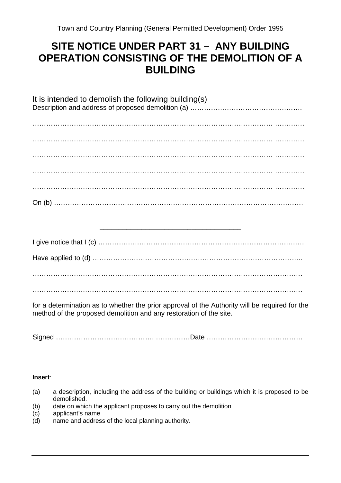## **SITE NOTICE UNDER PART 31 – ANY BUILDING OPERATION CONSISTING OF THE DEMOLITION OF A BUILDING**

| It is intended to demolish the following building(s)                                                                                                                                                                                                                                                                                                                                                                     |
|--------------------------------------------------------------------------------------------------------------------------------------------------------------------------------------------------------------------------------------------------------------------------------------------------------------------------------------------------------------------------------------------------------------------------|
| $\begin{minipage}[c]{0.9\linewidth} \begin{tabular}{l} \hline \textbf{11} & \textbf{22} & \textbf{33} & \textbf{44} \\ \hline \textbf{23} & \textbf{34} & \textbf{45} & \textbf{46} \\ \textbf{35} & \textbf{36} & \textbf{47} & \textbf{48} \\ \textbf{36} & \textbf{37} & \textbf{48} & \textbf{49} \\ \textbf{38} & \textbf{39} & \textbf{49} & \textbf{49} \\ \textbf{39} & \textbf{39} & \textbf{49} & \textbf{49}$ |
|                                                                                                                                                                                                                                                                                                                                                                                                                          |
|                                                                                                                                                                                                                                                                                                                                                                                                                          |
|                                                                                                                                                                                                                                                                                                                                                                                                                          |
|                                                                                                                                                                                                                                                                                                                                                                                                                          |
| <u> 2000 - 2000 - 2000 - 2000 - 2000 - 2000 - 2000 - 2000 - 2000 - 2000 - 2000 - 2000 - 2000 - 2000 - 2000 - 200</u>                                                                                                                                                                                                                                                                                                     |
|                                                                                                                                                                                                                                                                                                                                                                                                                          |
|                                                                                                                                                                                                                                                                                                                                                                                                                          |
|                                                                                                                                                                                                                                                                                                                                                                                                                          |

……………………………………………………………………………………………………….

for a determination as to whether the prior approval of the Authority will be required for the method of the proposed demolition and any restoration of the site.

Signed ……………………………………. ……………Date ……………………………………

## **Insert**:

- (a) a description, including the address of the building or buildings which it is proposed to be demolished.
- (b) date on which the applicant proposes to carry out the demolition
- (c) applicant's name
- (d) name and address of the local planning authority.